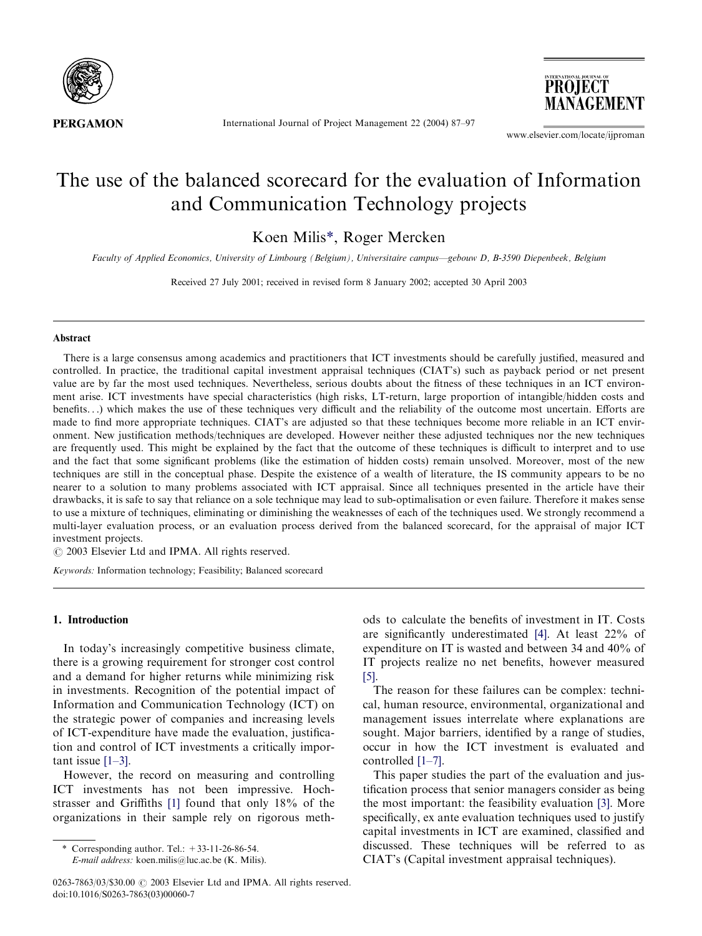

International Journal of Project Management 22 (2004) 87–97

**PROJECT** MANAGEMENT

[www.elsevier.com/locate/ijproman](http://www.elsevier.com/locate/ijproman/a4.3d)

# The use of the balanced scorecard for the evaluation of Information and Communication Technology projects

Koen Milis\*, Roger Mercken

Faculty of Applied Economics, University of Limbourg (Belgium), Universitaire campus—gebouw D, B-3590 Diepenbeek, Belgium

Received 27July 2001; received in revised form 8 January 2002; accepted 30 April 2003

#### Abstract

There is a large consensus among academics and practitioners that ICT investments should be carefully justified, measured and controlled. In practice, the traditional capital investment appraisal techniques (CIAT's) such as payback period or net present value are by far the most used techniques. Nevertheless, serious doubts about the fitness of these techniques in an ICT environment arise. ICT investments have special characteristics (high risks, LT-return, large proportion of intangible/hidden costs and benefits...) which makes the use of these techniques very difficult and the reliability of the outcome most uncertain. Efforts are made to find more appropriate techniques. CIAT's are adjusted so that these techniques become more reliable in an ICT environment. New justification methods/techniques are developed. However neither these adjusted techniques nor the new techniques are frequently used. This might be explained by the fact that the outcome of these techniques is difficult to interpret and to use and the fact that some significant problems (like the estimation of hidden costs) remain unsolved. Moreover, most of the new techniques are still in the conceptual phase. Despite the existence of a wealth of literature, the IS community appears to be no nearer to a solution to many problems associated with ICT appraisal. Since all techniques presented in the article have their drawbacks, it is safe to say that reliance on a sole technique may lead to sub-optimalisation or even failure. Therefore it makes sense to use a mixture of techniques, eliminating or diminishing the weaknesses of each of the techniques used. We strongly recommend a multi-layer evaluation process, or an evaluation process derived from the balanced scorecard, for the appraisal of major ICT investment projects.

 $\odot$  2003 Elsevier Ltd and IPMA. All rights reserved.

Keywords: Information technology; Feasibility; Balanced scorecard

## 1. Introduction

In today's increasingly competitive business climate, there is a growing requirement for stronger cost control and a demand for higher returns while minimizing risk in investments. Recognition of the potential impact of Information and Communication Technology (ICT) on the strategic power of companies and increasing levels of ICT-expenditure have made the evaluation, justification and control of ICT investments a critically important issue [\[1–3\].](#page--1-0)

However, the record on measuring and controlling ICT investments has not been impressive. Hochstrasser and Griffiths [\[1\]](#page--1-0) found that only 18% of the organizations in their sample rely on rigorous meth-

Corresponding author. Tel.:  $+33-11-26-86-54$ .

ods to calculate the benefits of investment in IT. Costs are significantly underestimated [\[4\].](#page--1-0) At least 22% of expenditure on IT is wasted and between 34 and 40% of IT projects realize no net benefits, however measured [\[5\]](#page--1-0).

The reason for these failures can be complex: technical, human resource, environmental, organizational and management issues interrelate where explanations are sought. Major barriers, identified by a range of studies, occur in how the ICT investment is evaluated and controlled [\[1–7\].](#page--1-0)

This paper studies the part of the evaluation and justification process that senior managers consider as being the most important: the feasibility evaluation [\[3\]](#page--1-0). More specifically, ex ante evaluation techniques used to justify capital investments in ICT are examined, classified and discussed. These techniques will be referred to as CIAT's (Capital investment appraisal techniques).

E-mail address: [koen.milis@luc.ac.be](mailto:koen.milis@luc.ac.be) (K. Milis).

<sup>0263-7863/03/\$30.00 © 2003</sup> Elsevier Ltd and IPMA. All rights reserved. doi:10.1016/S0263-7863(03)00060-7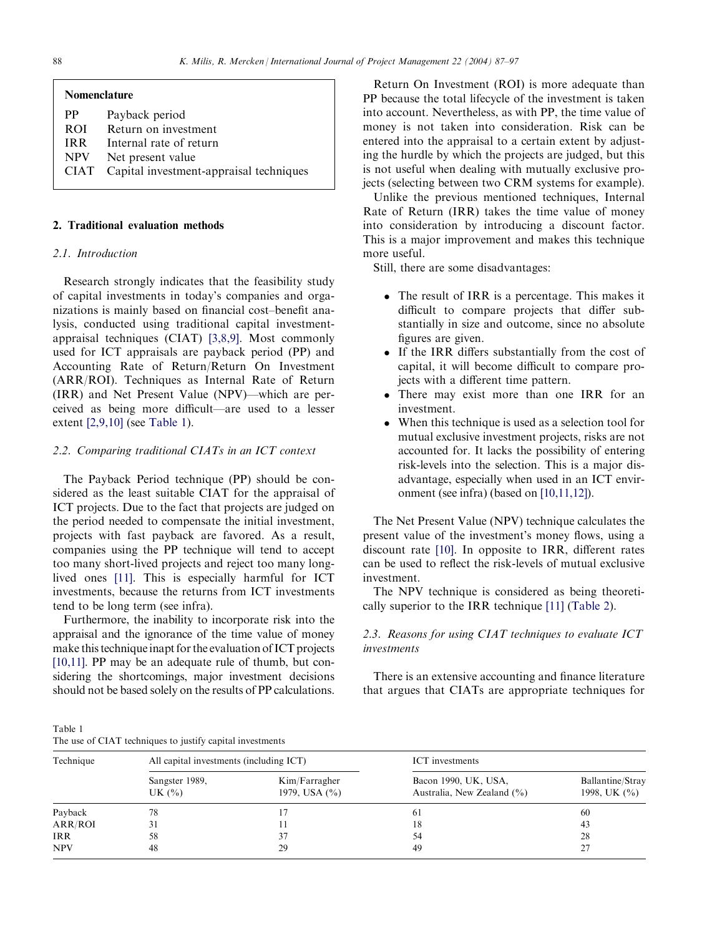| <b>Nomenclature</b> |                                         |  |  |  |
|---------------------|-----------------------------------------|--|--|--|
| PP                  | Payback period                          |  |  |  |
| <b>ROI</b>          | Return on investment                    |  |  |  |
| IR R                | Internal rate of return                 |  |  |  |
| <b>NPV</b>          | Net present value                       |  |  |  |
| <b>CIAT</b>         | Capital investment-appraisal techniques |  |  |  |
|                     |                                         |  |  |  |

#### 2. Traditional evaluation methods

### 2.1. Introduction

Research strongly indicates that the feasibility study of capital investments in today's companies and organizations is mainly based on financial cost–benefit analysis, conducted using traditional capital investmentappraisal techniques (CIAT) [\[3,8,9\].](#page--1-0) Most commonly used for ICT appraisals are payback period (PP) and Accounting Rate of Return/Return On Investment (ARR/ROI). Techniques as Internal Rate of Return (IRR) and Net Present Value (NPV)—which are perceived as being more difficult—are used to a lesser extent [2,9,10] (see Table 1).

### 2.2. Comparing traditional CIATs in an ICT context

The Payback Period technique (PP) should be considered as the least suitable CIAT for the appraisal of ICT projects. Due to the fact that projects are judged on the period needed to compensate the initial investment, projects with fast payback are favored. As a result, companies using the PP technique will tend to accept too many short-lived projects and reject too many longlived ones [\[11\].](#page--1-0) This is especially harmful for ICT investments, because the returns from ICT investments tend to be long term (see infra).

Furthermore, the inability to incorporate risk into the appraisal and the ignorance of the time value of money make this technique inapt for the evaluation of ICT projects [\[10,11\].](#page--1-0) PP may be an adequate rule of thumb, but considering the shortcomings, major investment decisions should not be based solely on the results of PP calculations.

Return On Investment (ROI) is more adequate than PP because the total lifecycle of the investment is taken into account. Nevertheless, as with PP, the time value of money is not taken into consideration. Risk can be entered into the appraisal to a certain extent by adjusting the hurdle by which the projects are judged, but this is not useful when dealing with mutually exclusive projects (selecting between two CRM systems for example).

Unlike the previous mentioned techniques, Internal Rate of Return (IRR) takes the time value of money into consideration by introducing a discount factor. This is a major improvement and makes this technique more useful.

Still, there are some disadvantages:

- The result of IRR is a percentage. This makes it difficult to compare projects that differ substantially in size and outcome, since no absolute figures are given.
- If the IRR differs substantially from the cost of capital, it will become difficult to compare projects with a different time pattern.
- There may exist more than one IRR for an investment.
- When this technique is used as a selection tool for mutual exclusive investment projects, risks are not accounted for. It lacks the possibility of entering risk-levels into the selection. This is a major disadvantage, especially when used in an ICT environment (see infra) (based on [\[10,11,12\]](#page--1-0)).

The Net Present Value (NPV) technique calculates the present value of the investment's money flows, using a discount rate [\[10\]](#page--1-0). In opposite to IRR, different rates can be used to reflect the risk-levels of mutual exclusive investment.

The NPV technique is considered as being theoretically superior to the IRR technique [\[11\]](#page--1-0) ([Table 2](#page--1-0)).

## 2.3. Reasons for using CIAT techniques to evaluate ICT investments

There is an extensive accounting and finance literature that argues that CIATs are appropriate techniques for

Table 1 The use of CIAT techniques to justify capital investments

| Technique  | All capital investments (including ICT) |                                    | <b>ICT</b> investments                             |                                      |
|------------|-----------------------------------------|------------------------------------|----------------------------------------------------|--------------------------------------|
|            | Sangster 1989,<br>UK $(%)$              | Kim/Farragher<br>1979, USA $(\% )$ | Bacon 1990, UK, USA,<br>Australia, New Zealand (%) | Ballantine/Stray<br>1998, UK $(\% )$ |
| Payback    | 78                                      |                                    | 61                                                 | 60                                   |
| ARR/ROI    | 31                                      |                                    | 18                                                 | 43                                   |
| <b>IRR</b> | 58                                      | 37                                 | 54                                                 | 28                                   |
| <b>NPV</b> | 48                                      | 29                                 | 49                                                 | 27                                   |